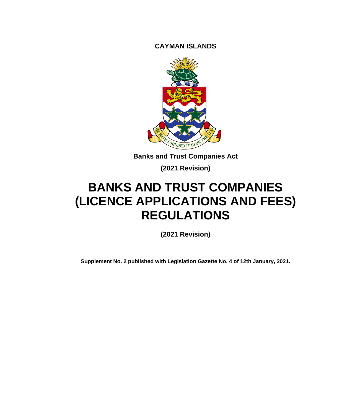**CAYMAN ISLANDS**



**Banks and Trust Companies Act**

**(2021 Revision)**

# **BANKS AND TRUST COMPANIES (LICENCE APPLICATIONS AND FEES) REGULATIONS**

**(2021 Revision)**

**Supplement No. 2 published with Legislation Gazette No. 4 of 12th January, 2021.**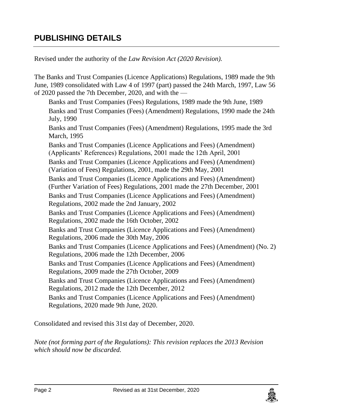# **PUBLISHING DETAILS**

Revised under the authority of the *Law Revision Act (2020 Revision).*

The Banks and Trust Companies (Licence Applications) Regulations, 1989 made the 9th June, 1989 consolidated with Law 4 of 1997 (part) passed the 24th March, 1997, Law 56 of 2020 passed the 7th December, 2020, and with the —

Banks and Trust Companies (Fees) Regulations, 1989 made the 9th June, 1989 Banks and Trust Companies (Fees) (Amendment) Regulations, 1990 made the 24th July, 1990 Banks and Trust Companies (Fees) (Amendment) Regulations, 1995 made the 3rd March, 1995 Banks and Trust Companies (Licence Applications and Fees) (Amendment) (Applicants' References) Regulations, 2001 made the 12th April, 2001 Banks and Trust Companies (Licence Applications and Fees) (Amendment) (Variation of Fees) Regulations, 2001, made the 29th May, 2001 Banks and Trust Companies (Licence Applications and Fees) (Amendment) (Further Variation of Fees) Regulations, 2001 made the 27th December, 2001 Banks and Trust Companies (Licence Applications and Fees) (Amendment) Regulations, 2002 made the 2nd January, 2002 Banks and Trust Companies (Licence Applications and Fees) (Amendment) Regulations, 2002 made the 16th October, 2002 Banks and Trust Companies (Licence Applications and Fees) (Amendment) Regulations, 2006 made the 30th May, 2006 Banks and Trust Companies (Licence Applications and Fees) (Amendment) (No. 2) Regulations, 2006 made the 12th December, 2006 Banks and Trust Companies (Licence Applications and Fees) (Amendment) Regulations, 2009 made the 27th October, 2009 Banks and Trust Companies (Licence Applications and Fees) (Amendment) Regulations, 2012 made the 12th December, 2012 Banks and Trust Companies (Licence Applications and Fees) (Amendment) Regulations, 2020 made 9th June, 2020.

Consolidated and revised this 31st day of December, 2020.

*Note (not forming part of the Regulations): This revision replaces the 2013 Revision which should now be discarded.*

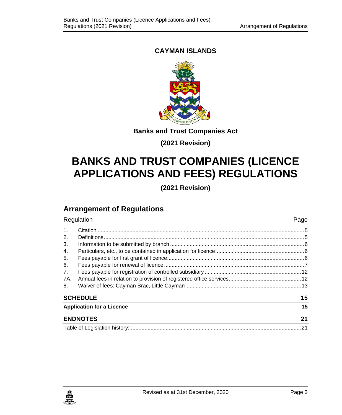### **CAYMAN ISLANDS**



**Banks and Trust Companies Act**

## **(2021 Revision)**

# **BANKS AND TRUST COMPANIES (LICENCE APPLICATIONS AND FEES) REGULATIONS**

**(2021 Revision)**

# **Arrangement of Regulations**

| Regulation            |                                  |    |  |
|-----------------------|----------------------------------|----|--|
| $\mathbf{1}$ .        |                                  |    |  |
| 2.                    |                                  |    |  |
| 3.                    |                                  |    |  |
| 4.                    |                                  |    |  |
| 5.                    |                                  |    |  |
| 6.                    |                                  |    |  |
| 7.                    |                                  |    |  |
| 7A.                   |                                  |    |  |
| 8.                    |                                  |    |  |
| <b>SCHEDULE</b><br>15 |                                  |    |  |
|                       | <b>Application for a Licence</b> |    |  |
|                       | <b>ENDNOTES</b>                  | 21 |  |
|                       |                                  |    |  |

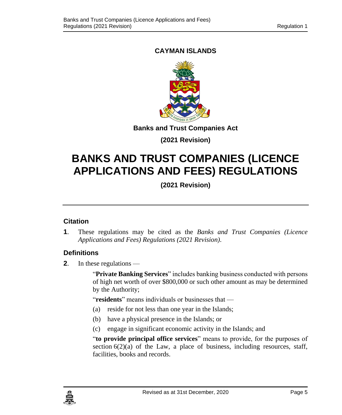## **CAYMAN ISLANDS**



**Banks and Trust Companies Act**

**(2021 Revision)**

# **BANKS AND TRUST COMPANIES (LICENCE APPLICATIONS AND FEES) REGULATIONS**

**(2021 Revision)**

### <span id="page-4-0"></span>**1. Citation**

**1**. These regulations may be cited as the *Banks and Trust Companies (Licence Applications and Fees) Regulations (2021 Revision)*.

### <span id="page-4-1"></span>**2. Definitions**

**2**. In these regulations —

"**Private Banking Services**" includes banking business conducted with persons of high net worth of over \$800,000 or such other amount as may be determined by the Authority;

"**residents**" means individuals or businesses that —

- (a) reside for not less than one year in the Islands;
- (b) have a physical presence in the Islands; or
- (c) engage in significant economic activity in the Islands; and

"**to provide principal office services**" means to provide, for the purposes of section  $6(2)(a)$  of the Law, a place of business, including resources, staff, facilities, books and records.

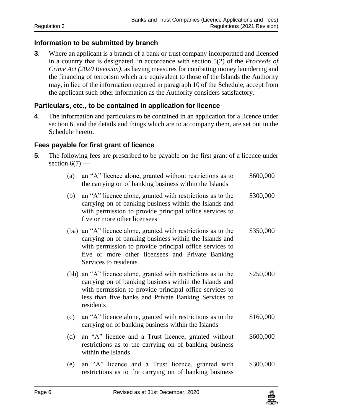#### <span id="page-5-0"></span>**3. Information to be submitted by branch**

**3**. Where an applicant is a branch of a bank or trust company incorporated and licensed in a country that is designated, in accordance with section 5(2) of the *Proceeds of Crime Act (2020 Revision)*, as having measures for combating money laundering and the financing of terrorism which are equivalent to those of the Islands the Authority may, in lieu of the information required in paragraph 10 of the Schedule, accept from the applicant such other information as the Authority considers satisfactory.

#### <span id="page-5-1"></span>**4. Particulars, etc., to be contained in application for licence**

**4**. The information and particulars to be contained in an application for a licence under section 6, and the details and things which are to accompany them, are set out in the Schedule hereto.

#### <span id="page-5-2"></span>**5. Fees payable for first grant of licence**

**5**. The following fees are prescribed to be payable on the first grant of a licence under section  $6(7)$  —

| (a) | an "A" licence alone, granted without restrictions as to<br>the carrying on of banking business within the Islands                                                                                                                                               | \$600,000 |
|-----|------------------------------------------------------------------------------------------------------------------------------------------------------------------------------------------------------------------------------------------------------------------|-----------|
| (b) | an "A" licence alone, granted with restrictions as to the<br>carrying on of banking business within the Islands and<br>with permission to provide principal office services to<br>five or more other licensees                                                   | \$300,000 |
|     | (ba) an "A" licence alone, granted with restrictions as to the<br>carrying on of banking business within the Islands and<br>with permission to provide principal office services to<br>five or more other licensees and Private Banking<br>Services to residents | \$350,000 |
|     | (bb) an "A" licence alone, granted with restrictions as to the<br>carrying on of banking business within the Islands and<br>with permission to provide principal office services to<br>less than five banks and Private Banking Services to<br>residents         | \$250,000 |
| (c) | an "A" licence alone, granted with restrictions as to the<br>carrying on of banking business within the Islands                                                                                                                                                  | \$160,000 |
| (d) | an "A" licence and a Trust licence, granted without<br>restrictions as to the carrying on of banking business<br>within the Islands                                                                                                                              | \$600,000 |
| (e) | an "A" licence and a Trust licence, granted with<br>restrictions as to the carrying on of banking business                                                                                                                                                       | \$300,000 |

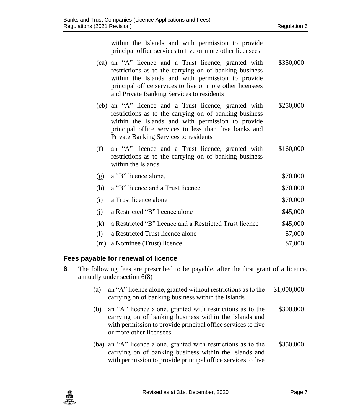|     | within the Islands and with permission to provide<br>principal office services to five or more other licensees                                                                                                                                                                 |           |
|-----|--------------------------------------------------------------------------------------------------------------------------------------------------------------------------------------------------------------------------------------------------------------------------------|-----------|
|     | (ea) an "A" licence and a Trust licence, granted with<br>restrictions as to the carrying on of banking business<br>within the Islands and with permission to provide<br>principal office services to five or more other licensees<br>and Private Banking Services to residents | \$350,000 |
|     | (eb) an "A" licence and a Trust licence, granted with<br>restrictions as to the carrying on of banking business<br>within the Islands and with permission to provide<br>principal office services to less than five banks and<br>Private Banking Services to residents         | \$250,000 |
| (f) | an "A" licence and a Trust licence, granted with<br>restrictions as to the carrying on of banking business<br>within the Islands                                                                                                                                               | \$160,000 |
| (g) | a "B" licence alone,                                                                                                                                                                                                                                                           | \$70,000  |
| (h) | a "B" licence and a Trust licence                                                                                                                                                                                                                                              | \$70,000  |
| (i) | a Trust licence alone                                                                                                                                                                                                                                                          | \$70,000  |
| (i) | a Restricted "B" licence alone                                                                                                                                                                                                                                                 | \$45,000  |
| (k) | a Restricted "B" licence and a Restricted Trust licence                                                                                                                                                                                                                        | \$45,000  |
| (1) | a Restricted Trust licence alone                                                                                                                                                                                                                                               | \$7,000   |
|     | (m) a Nominee (Trust) licence                                                                                                                                                                                                                                                  | \$7,000   |
|     |                                                                                                                                                                                                                                                                                |           |

#### <span id="page-6-0"></span>**6. Fees payable for renewal of licence**

- **6**. The following fees are prescribed to be payable, after the first grant of a licence, annually under section 6(8) —
	- (a) an "A" licence alone, granted without restrictions as to the carrying on of banking business within the Islands \$1,000,000
	- (b) an "A" licence alone, granted with restrictions as to the carrying on of banking business within the Islands and with permission to provide principal office services to five or more other licensees \$300,000
	- (ba) an "A" licence alone, granted with restrictions as to the carrying on of banking business within the Islands and with permission to provide principal office services to five \$350,000

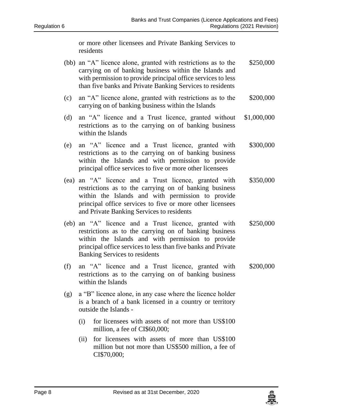or more other licensees and Private Banking Services to residents

|      | (bb) an "A" licence alone, granted with restrictions as to the<br>carrying on of banking business within the Islands and<br>with permission to provide principal office services to less<br>than five banks and Private Banking Services to residents                     | \$250,000   |
|------|---------------------------------------------------------------------------------------------------------------------------------------------------------------------------------------------------------------------------------------------------------------------------|-------------|
| (c)  | an "A" licence alone, granted with restrictions as to the<br>carrying on of banking business within the Islands                                                                                                                                                           | \$200,000   |
| (d)  | an "A" licence and a Trust licence, granted without<br>restrictions as to the carrying on of banking business<br>within the Islands                                                                                                                                       | \$1,000,000 |
| (e)  | an "A" licence and a Trust licence, granted with<br>restrictions as to the carrying on of banking business<br>within the Islands and with permission to provide<br>principal office services to five or more other licensees                                              | \$300,000   |
| (ea) | an "A" licence and a Trust licence, granted with<br>restrictions as to the carrying on of banking business<br>within the Islands and with permission to provide<br>principal office services to five or more other licensees<br>and Private Banking Services to residents | \$350,000   |

- (eb) an "A" licence and a Trust licence, granted with restrictions as to the carrying on of banking business within the Islands and with permission to provide principal office services to less than five banks and Private Banking Services to residents \$250,000
- (f) an "A" licence and a Trust licence, granted with restrictions as to the carrying on of banking business within the Islands \$200,000
- (g) a "B" licence alone, in any case where the licence holder is a branch of a bank licensed in a country or territory outside the Islands -
	- (i) for licensees with assets of not more than US\$100 million, a fee of CI\$60,000;
	- (ii) for licensees with assets of more than US\$100 million but not more than US\$500 million, a fee of CI\$70,000;

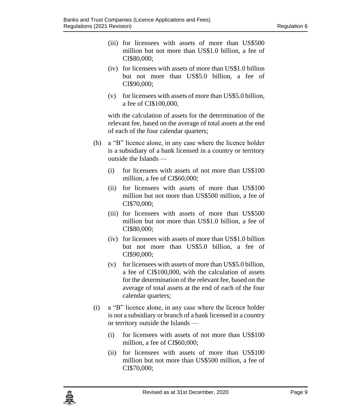- (iii) for licensees with assets of more than US\$500 million but not more than US\$1.0 billion, a fee of CI\$80,000;
- (iv) for licensees with assets of more than US\$1.0 billion but not more than US\$5.0 billion, a fee of CI\$90,000;
- (v) for licensees with assets of more than US\$5.0 billion, a fee of CI\$100,000,

with the calculation of assets for the determination of the relevant fee, based on the average of total assets at the end of each of the four calendar quarters;

- (h) a "B" licence alone, in any case where the licence holder is a subsidiary of a bank licensed in a country or territory outside the Islands —
	- (i) for licensees with assets of not more than US\$100 million, a fee of CI\$60,000;
	- (ii) for licensees with assets of more than US\$100 million but not more than US\$500 million, a fee of CI\$70,000;
	- (iii) for licensees with assets of more than US\$500 million but not more than US\$1.0 billion, a fee of CI\$80,000;
	- (iv) for licensees with assets of more than US\$1.0 billion but not more than US\$5.0 billion, a fee of CI\$90,000;
	- (v) for licensees with assets of more than US\$5.0 billion, a fee of CI\$100,000, with the calculation of assets for the determination of the relevant fee, based on the average of total assets at the end of each of the four calendar quarters;
- (i) a "B" licence alone, in any case where the licence holder is not a subsidiary or branch of a bank licensed in a country or territory outside the Islands —
	- (i) for licensees with assets of not more than US\$100 million, a fee of CI\$60,000;
	- (ii) for licensees with assets of more than US\$100 million but not more than US\$500 million, a fee of CI\$70,000;

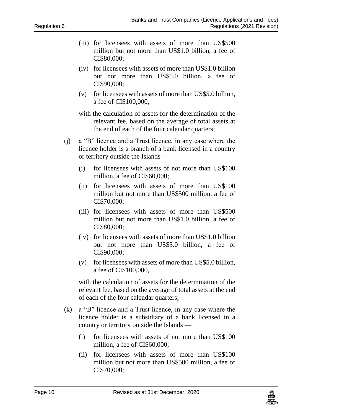- (iii) for licensees with assets of more than US\$500 million but not more than US\$1.0 billion, a fee of CI\$80,000;
- (iv) for licensees with assets of more than US\$1.0 billion but not more than US\$5.0 billion, a fee of CI\$90,000;
- (v) for licensees with assets of more than US\$5.0 billion, a fee of CI\$100,000,
- with the calculation of assets for the determination of the relevant fee, based on the average of total assets at the end of each of the four calendar quarters;
- (j) a "B" licence and a Trust licence, in any case where the licence holder is a branch of a bank licensed in a country or territory outside the Islands —
	- (i) for licensees with assets of not more than US\$100 million, a fee of CI\$60,000;
	- (ii) for licensees with assets of more than US\$100 million but not more than US\$500 million, a fee of CI\$70,000;
	- (iii) for licensees with assets of more than US\$500 million but not more than US\$1.0 billion, a fee of CI\$80,000;
	- (iv) for licensees with assets of more than US\$1.0 billion but not more than US\$5.0 billion, a fee of CI\$90,000;
	- (v) for licensees with assets of more than US\$5.0 billion, a fee of CI\$100,000,

with the calculation of assets for the determination of the relevant fee, based on the average of total assets at the end of each of the four calendar quarters;

- (k) a "B" licence and a Trust licence, in any case where the licence holder is a subsidiary of a bank licensed in a country or territory outside the Islands —
	- (i) for licensees with assets of not more than US\$100 million, a fee of CI\$60,000;
	- (ii) for licensees with assets of more than US\$100 million but not more than US\$500 million, a fee of CI\$70,000;

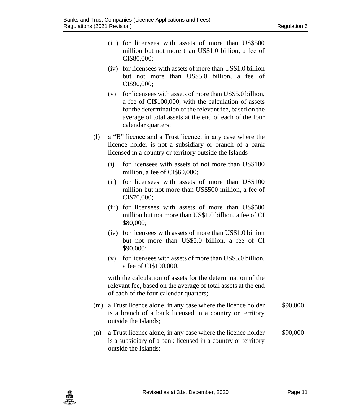- (iii) for licensees with assets of more than US\$500 million but not more than US\$1.0 billion, a fee of CI\$80,000;
- (iv) for licensees with assets of more than US\$1.0 billion but not more than US\$5.0 billion, a fee of CI\$90,000;
- (v) for licensees with assets of more than US\$5.0 billion, a fee of CI\$100,000, with the calculation of assets for the determination of the relevant fee, based on the average of total assets at the end of each of the four calendar quarters;
- (l) a "B" licence and a Trust licence, in any case where the licence holder is not a subsidiary or branch of a bank licensed in a country or territory outside the Islands —
	- (i) for licensees with assets of not more than US\$100 million, a fee of CI\$60,000;
	- (ii) for licensees with assets of more than US\$100 million but not more than US\$500 million, a fee of CI\$70,000;
	- (iii) for licensees with assets of more than US\$500 million but not more than US\$1.0 billion, a fee of CI \$80,000;
	- (iv) for licensees with assets of more than US\$1.0 billion but not more than US\$5.0 billion, a fee of CI \$90,000;
	- (v) for licensees with assets of more than US\$5.0 billion, a fee of CI\$100,000,

with the calculation of assets for the determination of the relevant fee, based on the average of total assets at the end of each of the four calendar quarters;

- (m) a Trust licence alone, in any case where the licence holder is a branch of a bank licensed in a country or territory outside the Islands; \$90,000
- (n) a Trust licence alone, in any case where the licence holder is a subsidiary of a bank licensed in a country or territory outside the Islands; \$90,000

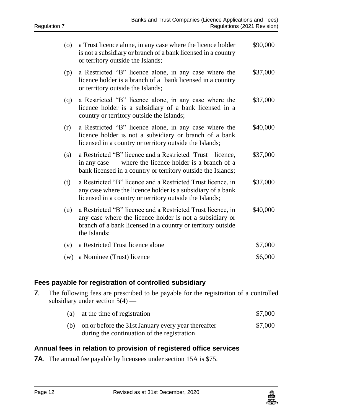| (0) | a Trust licence alone, in any case where the licence holder<br>is not a subsidiary or branch of a bank licensed in a country<br>or territory outside the Islands;                                      | \$90,000 |
|-----|--------------------------------------------------------------------------------------------------------------------------------------------------------------------------------------------------------|----------|
| (p) | a Restricted "B" licence alone, in any case where the<br>licence holder is a branch of a bank licensed in a country<br>or territory outside the Islands;                                               | \$37,000 |
| (q) | a Restricted "B" licence alone, in any case where the<br>licence holder is a subsidiary of a bank licensed in a<br>country or territory outside the Islands;                                           | \$37,000 |
| (r) | a Restricted "B" licence alone, in any case where the<br>licence holder is not a subsidiary or branch of a bank<br>licensed in a country or territory outside the Islands;                             | \$40,000 |
| (s) | a Restricted "B" licence and a Restricted Trust<br>licence.<br>where the licence holder is a branch of a<br>in any case<br>bank licensed in a country or territory outside the Islands;                | \$37,000 |
| (t) | a Restricted "B" licence and a Restricted Trust licence, in<br>any case where the licence holder is a subsidiary of a bank<br>licensed in a country or territory outside the Islands;                  | \$37,000 |
| (u) | a Restricted "B" licence and a Restricted Trust licence, in<br>any case where the licence holder is not a subsidiary or<br>branch of a bank licensed in a country or territory outside<br>the Islands; | \$40,000 |
| (v) | a Restricted Trust licence alone                                                                                                                                                                       | \$7,000  |
| (w) | a Nominee (Trust) licence                                                                                                                                                                              | \$6,000  |

#### <span id="page-11-0"></span>**7. Fees payable for registration of controlled subsidiary**

- **7**. The following fees are prescribed to be payable for the registration of a controlled subsidiary under section  $5(4)$  —
	- (a) at the time of registration \$7,000
	- (b) on or before the 31st January every year thereafter during the continuation of the registration \$7,000

#### <span id="page-11-1"></span>**7A. Annual fees in relation to provision of registered office services**

**7A**. The annual fee payable by licensees under section 15A is \$75.

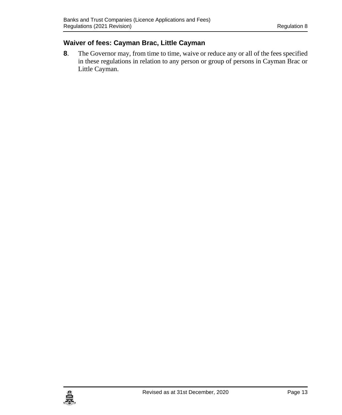## <span id="page-12-0"></span>**8. Waiver of fees: Cayman Brac, Little Cayman**

**8**. The Governor may, from time to time, waive or reduce any or all of the fees specified in these regulations in relation to any person or group of persons in Cayman Brac or Little Cayman.

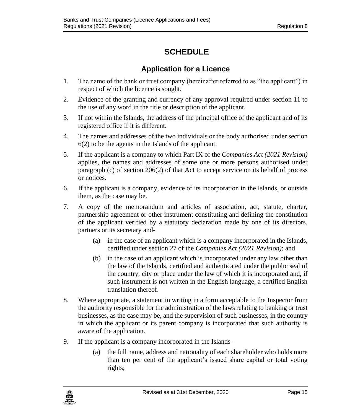# <span id="page-14-0"></span>**SCHEDULE**

## **Application for a Licence**

- <span id="page-14-1"></span>1. The name of the bank or trust company (hereinafter referred to as "the applicant") in respect of which the licence is sought.
- 2. Evidence of the granting and currency of any approval required under section 11 to the use of any word in the title or description of the applicant.
- 3. If not within the Islands, the address of the principal office of the applicant and of its registered office if it is different.
- 4. The names and addresses of the two individuals or the body authorised under section 6(2) to be the agents in the Islands of the applicant.
- 5. If the applicant is a company to which Part IX of the *Companies Act (2021 Revision)* applies, the names and addresses of some one or more persons authorised under paragraph (c) of section 206(2) of that Act to accept service on its behalf of process or notices.
- 6. If the applicant is a company, evidence of its incorporation in the Islands, or outside them, as the case may be.
- 7. A copy of the memorandum and articles of association, act, statute, charter, partnership agreement or other instrument constituting and defining the constitution of the applicant verified by a statutory declaration made by one of its directors, partners or its secretary and-
	- (a) in the case of an applicant which is a company incorporated in the Islands, certified under section 27 of the *Companies Act (2021 Revision)*; and
	- (b) in the case of an applicant which is incorporated under any law other than the law of the Islands, certified and authenticated under the public seal of the country, city or place under the law of which it is incorporated and, if such instrument is not written in the English language, a certified English translation thereof.
- 8. Where appropriate, a statement in writing in a form acceptable to the Inspector from the authority responsible for the administration of the laws relating to banking or trust businesses, as the case may be, and the supervision of such businesses, in the country in which the applicant or its parent company is incorporated that such authority is aware of the application.
- 9. If the applicant is a company incorporated in the Islands-
	- (a) the full name, address and nationality of each shareholder who holds more than ten per cent of the applicant's issued share capital or total voting rights;

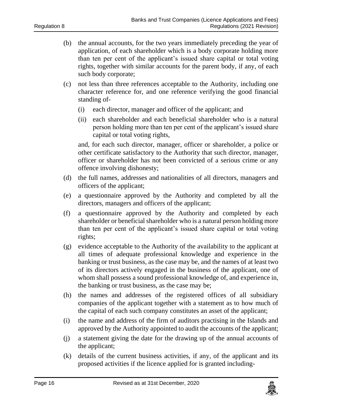- (b) the annual accounts, for the two years immediately preceding the year of application, of each shareholder which is a body corporate holding more than ten per cent of the applicant's issued share capital or total voting rights, together with similar accounts for the parent body, if any, of each such body corporate;
- (c) not less than three references acceptable to the Authority, including one character reference for, and one reference verifying the good financial standing of-
	- (i) each director, manager and officer of the applicant; and
	- (ii) each shareholder and each beneficial shareholder who is a natural person holding more than ten per cent of the applicant's issued share capital or total voting rights,

and, for each such director, manager, officer or shareholder, a police or other certificate satisfactory to the Authority that such director, manager, officer or shareholder has not been convicted of a serious crime or any offence involving dishonesty;

- (d) the full names, addresses and nationalities of all directors, managers and officers of the applicant;
- (e) a questionnaire approved by the Authority and completed by all the directors, managers and officers of the applicant;
- (f) a questionnaire approved by the Authority and completed by each shareholder or beneficial shareholder who is a natural person holding more than ten per cent of the applicant's issued share capital or total voting rights;
- (g) evidence acceptable to the Authority of the availability to the applicant at all times of adequate professional knowledge and experience in the banking or trust business, as the case may be, and the names of at least two of its directors actively engaged in the business of the applicant, one of whom shall possess a sound professional knowledge of, and experience in, the banking or trust business, as the case may be;
- (h) the names and addresses of the registered offices of all subsidiary companies of the applicant together with a statement as to how much of the capital of each such company constitutes an asset of the applicant;
- (i) the name and address of the firm of auditors practising in the Islands and approved by the Authority appointed to audit the accounts of the applicant;
- (j) a statement giving the date for the drawing up of the annual accounts of the applicant;
- (k) details of the current business activities, if any, of the applicant and its proposed activities if the licence applied for is granted including-

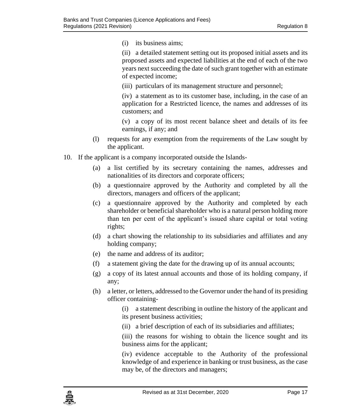(i) its business aims;

(ii) a detailed statement setting out its proposed initial assets and its proposed assets and expected liabilities at the end of each of the two years next succeeding the date of such grant together with an estimate of expected income;

(iii) particulars of its management structure and personnel;

(iv) a statement as to its customer base, including, in the case of an application for a Restricted licence, the names and addresses of its customers; and

(v) a copy of its most recent balance sheet and details of its fee earnings, if any; and

- (l) requests for any exemption from the requirements of the Law sought by the applicant.
- 10. If the applicant is a company incorporated outside the Islands-
	- (a) a list certified by its secretary containing the names, addresses and nationalities of its directors and corporate officers;
	- (b) a questionnaire approved by the Authority and completed by all the directors, managers and officers of the applicant;
	- (c) a questionnaire approved by the Authority and completed by each shareholder or beneficial shareholder who is a natural person holding more than ten per cent of the applicant's issued share capital or total voting rights;
	- (d) a chart showing the relationship to its subsidiaries and affiliates and any holding company;
	- (e) the name and address of its auditor;
	- (f) a statement giving the date for the drawing up of its annual accounts;
	- (g) a copy of its latest annual accounts and those of its holding company, if any;
	- (h) a letter, or letters, addressed to the Governor under the hand of its presiding officer containing-

(i) a statement describing in outline the history of the applicant and its present business activities;

(ii) a brief description of each of its subsidiaries and affiliates;

(iii) the reasons for wishing to obtain the licence sought and its business aims for the applicant;

(iv) evidence acceptable to the Authority of the professional knowledge of and experience in banking or trust business, as the case may be, of the directors and managers;

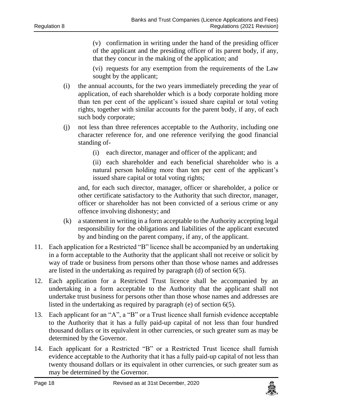(v) confirmation in writing under the hand of the presiding officer of the applicant and the presiding officer of its parent body, if any, that they concur in the making of the application; and

(vi) requests for any exemption from the requirements of the Law sought by the applicant;

- (i) the annual accounts, for the two years immediately preceding the year of application, of each shareholder which is a body corporate holding more than ten per cent of the applicant's issued share capital or total voting rights, together with similar accounts for the parent body, if any, of each such body corporate;
- (j) not less than three references acceptable to the Authority, including one character reference for, and one reference verifying the good financial standing of-
	- (i) each director, manager and officer of the applicant; and

(ii) each shareholder and each beneficial shareholder who is a natural person holding more than ten per cent of the applicant's issued share capital or total voting rights;

and, for each such director, manager, officer or shareholder, a police or other certificate satisfactory to the Authority that such director, manager, officer or shareholder has not been convicted of a serious crime or any offence involving dishonesty; and

- (k) a statement in writing in a form acceptable to the Authority accepting legal responsibility for the obligations and liabilities of the applicant executed by and binding on the parent company, if any, of the applicant.
- 11. Each application for a Restricted "B" licence shall be accompanied by an undertaking in a form acceptable to the Authority that the applicant shall not receive or solicit by way of trade or business from persons other than those whose names and addresses are listed in the undertaking as required by paragraph (d) of section 6(5).
- 12. Each application for a Restricted Trust licence shall be accompanied by an undertaking in a form acceptable to the Authority that the applicant shall not undertake trust business for persons other than those whose names and addresses are listed in the undertaking as required by paragraph (e) of section 6(5).
- 13. Each applicant for an "A", a "B" or a Trust licence shall furnish evidence acceptable to the Authority that it has a fully paid-up capital of not less than four hundred thousand dollars or its equivalent in other currencies, or such greater sum as may be determined by the Governor.
- 14. Each applicant for a Restricted "B" or a Restricted Trust licence shall furnish evidence acceptable to the Authority that it has a fully paid-up capital of not less than twenty thousand dollars or its equivalent in other currencies, or such greater sum as may be determined by the Governor.

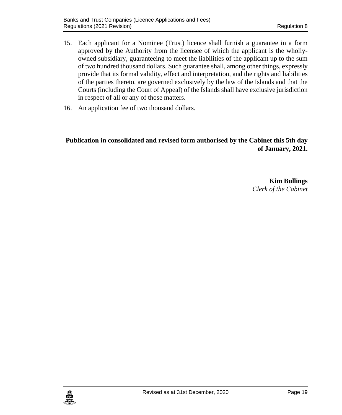- 15. Each applicant for a Nominee (Trust) licence shall furnish a guarantee in a form approved by the Authority from the licensee of which the applicant is the whollyowned subsidiary, guaranteeing to meet the liabilities of the applicant up to the sum of two hundred thousand dollars. Such guarantee shall, among other things, expressly provide that its formal validity, effect and interpretation, and the rights and liabilities of the parties thereto, are governed exclusively by the law of the Islands and that the Courts (including the Court of Appeal) of the Islands shall have exclusive jurisdiction in respect of all or any of those matters.
- 16. An application fee of two thousand dollars.

## **Publication in consolidated and revised form authorised by the Cabinet this 5th day of January, 2021.**

**Kim Bullings** *Clerk of the Cabinet*

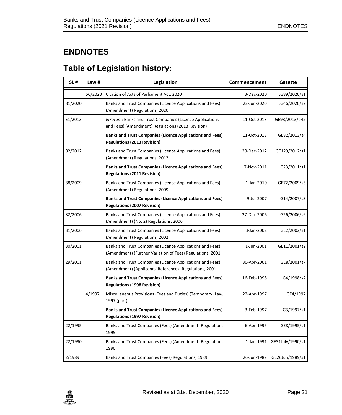# <span id="page-20-0"></span>**ENDNOTES**

# <span id="page-20-1"></span>**Table of Legislation history:**

| SL#     | Law #   | Legislation                                                                                                            | Commencement | Gazette          |
|---------|---------|------------------------------------------------------------------------------------------------------------------------|--------------|------------------|
|         | 56/2020 | Citation of Acts of Parliament Act, 2020                                                                               | 3-Dec-2020   | LG89/2020/s1     |
| 81/2020 |         | Banks and Trust Companies (Licence Applications and Fees)<br>(Amendment) Regulations, 2020.                            | 22-Jun-2020  | LG46/2020/s2     |
| E1/2013 |         | Erratum: Banks and Trust Companies (Licence Applications<br>and Fees) (Amendment) Regulations (2013 Revision)          | 11-Oct-2013  | GE93/2013/p42    |
|         |         | <b>Banks and Trust Companies (Licence Applications and Fees)</b><br>Regulations (2013 Revision)                        | 11-Oct-2013  | GE82/2013/s4     |
| 82/2012 |         | Banks and Trust Companies (Licence Applications and Fees)<br>(Amendment) Regulations, 2012                             | 20-Dec-2012  | GE129/2012/s1    |
|         |         | <b>Banks and Trust Companies (Licence Applications and Fees)</b><br><b>Regulations (2011 Revision)</b>                 | 7-Nov-2011   | G23/2011/s1      |
| 38/2009 |         | Banks and Trust Companies (Licence Applications and Fees)<br>(Amendment) Regulations, 2009                             | 1-Jan-2010   | GE72/2009/s3     |
|         |         | <b>Banks and Trust Companies (Licence Applications and Fees)</b><br><b>Regulations (2007 Revision)</b>                 | 9-Jul-2007   | G14/2007/s3      |
| 32/2006 |         | Banks and Trust Companies (Licence Applications and Fees)<br>(Amendment) (No. 2) Regulations, 2006                     | 27-Dec-2006  | G26/2006/s6      |
| 31/2006 |         | Banks and Trust Companies (Licence Applications and Fees)<br>(Amendment) Regulations, 2002                             | 3-Jan-2002   | GE2/2002/s1      |
| 30/2001 |         | Banks and Trust Companies (Licence Applications and Fees)<br>(Amendment) (Further Variation of Fees) Regulations, 2001 | 1-Jun-2001   | GE11/2001/s2     |
| 29/2001 |         | Banks and Trust Companies (Licence Applications and Fees)<br>(Amendment) (Applicants' References) Regulations, 2001    | 30-Apr-2001  | GE8/2001/s7      |
|         |         | <b>Banks and Trust Companies (Licence Applications and Fees)</b><br><b>Regulations (1998 Revision)</b>                 | 16-Feb-1998  | G4/1998/s2       |
|         | 4/1997  | Miscellaneous Provisions (Fees and Duties) (Temporary) Law,<br>1997 (part)                                             | 22-Apr-1997  | GE4/1997         |
|         |         | <b>Banks and Trust Companies (Licence Applications and Fees)</b><br><b>Regulations (1997 Revision)</b>                 | 3-Feb-1997   | G3/1997/s1       |
| 22/1995 |         | Banks and Trust Companies (Fees) (Amendment) Regulations,<br>1995                                                      | 6-Apr-1995   | GE8/1995/s1      |
| 22/1990 |         | Banks and Trust Companies (Fees) (Amendment) Regulations,<br>1990                                                      | 1-Jan-1991   | GE31July/1990/s1 |
| 2/1989  |         | Banks and Trust Companies (Fees) Regulations, 1989                                                                     | 26-Jun-1989  | GE26Jun/1989/s1  |

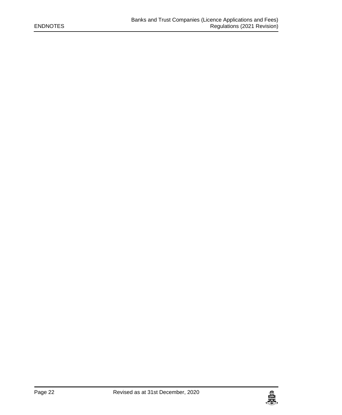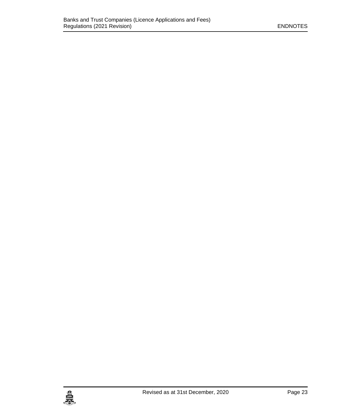